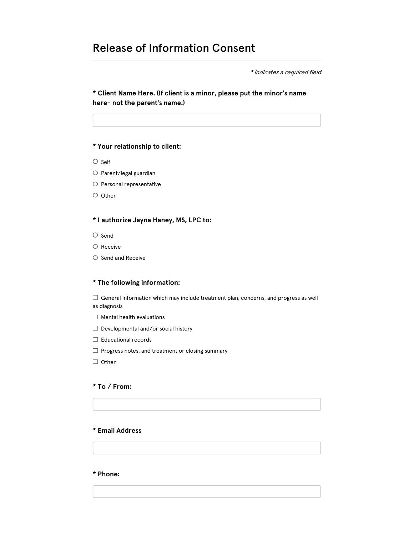# Release of Information Consent

\* indicates a required field

\* Client Name Here. (If client is a minor, please put the minor's name here- not the parent's name.)

## \* Your relationship to client:

- $\circ$  Self
- $\bigcirc$  Parent/legal guardian
- $\bigcirc$  Personal representative
- $\circ$  Other

## \* I authorize Jayna Haney, MS, LPC to:

- $\bigcirc$  Send
- $\circ$  Receive
- $\circ$  Send and Receive

## \* The following information:

 $\Box$  General information which may include treatment plan, concerns, and progress as well as diagnosis

- $\Box$  Mental health evaluations
- $\Box$  Developmental and/or social history
- $\Box$  Educational records
- $\Box$  Progress notes, and treatment or closing summary
- $\Box$  Other

## \* To / From:

## \* Email Address

\* Phone: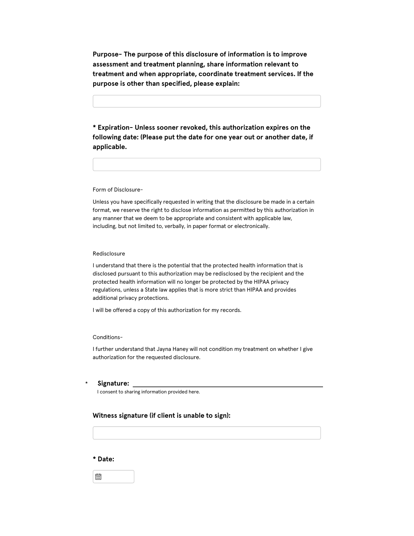Purpose- The purpose of this disclosure of information is to improve assessment and treatment planning, share information relevant to treatment and when appropriate, coordinate treatment services. If the purpose is other than specified, please explain:

\* Expiration- Unless sooner revoked, this authorization expires on the following date: (Please put the date for one year out or another date, if applicable.

Form of Disclosure-

Unless you have specifically requested in writing that the disclosure be made in a certain format, we reserve the right to disclose information as permitted by this authorization in any manner that we deem to be appropriate and consistent with applicable law, including, but not limited to, verbally, in paper format or electronically.

#### Redisclosure

I understand that there is the potential that the protected health information that is disclosed pursuant to this authorization may be redisclosed by the recipient and the protected health information will no longer be protected by the HIPAA privacy regulations, unless a State law applies that is more strict than HIPAA and provides additional privacy protections.

I will be offered a copy of this authorization for my records.

#### Conditions-

I further understand that Jayna Haney will not condition my treatment on whether I give authorization for the requested disclosure.

#### \* Signature:

I consent to sharing information provided here.

## Witness signature (if client is unable to sign):

### \* Date:

崮